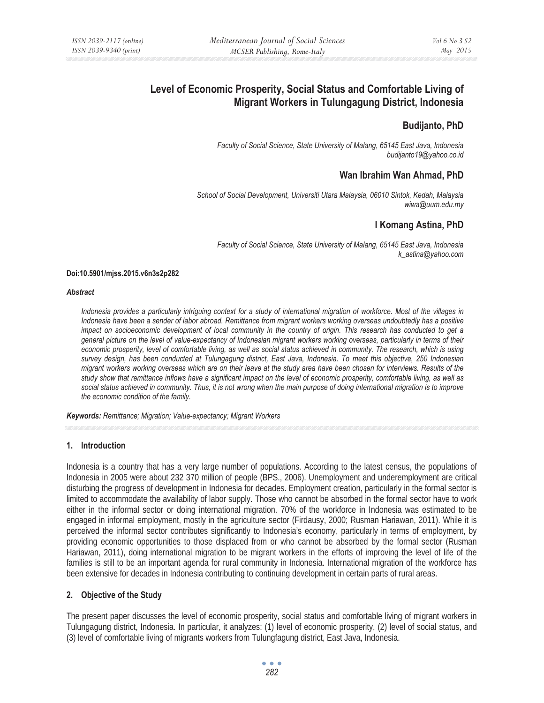# **Level of Economic Prosperity, Social Status and Comfortable Living of Migrant Workers in Tulungagung District, Indonesia**

# **Budijanto, PhD**

*Faculty of Social Science, State University of Malang, 65145 East Java, Indonesia budijanto19@yahoo.co.id* 

# **Wan Ibrahim Wan Ahmad, PhD**

*School of Social Development, Universiti Utara Malaysia, 06010 Sintok, Kedah, Malaysia wiwa@uum.edu.my* 

# **I Komang Astina, PhD**

*Faculty of Social Science, State University of Malang, 65145 East Java, Indonesia k\_astina@yahoo.com* 

#### **Doi:10.5901/mjss.2015.v6n3s2p282**

#### *Abstract*

*Indonesia provides a particularly intriguing context for a study of international migration of workforce. Most of the villages in Indonesia have been a sender of labor abroad. Remittance from migrant workers working overseas undoubtedly has a positive impact on socioeconomic development of local community in the country of origin. This research has conducted to get a general picture on the level of value-expectancy of Indonesian migrant workers working overseas, particularly in terms of their economic prosperity, level of comfortable living, as well as social status achieved in community. The research, which is using survey design, has been conducted at Tulungagung district, East Java, Indonesia. To meet this objective, 250 Indonesian migrant workers working overseas which are on their leave at the study area have been chosen for interviews. Results of the study show that remittance inflows have a significant impact on the level of economic prosperity, comfortable living, as well as social status achieved in community. Thus, it is not wrong when the main purpose of doing international migration is to improve the economic condition of the family.* 

*Keywords: Remittance; Migration; Value-expectancy; Migrant Workers*

## **1. Introduction**

Indonesia is a country that has a very large number of populations. According to the latest census, the populations of Indonesia in 2005 were about 232 370 million of people (BPS., 2006). Unemployment and underemployment are critical disturbing the progress of development in Indonesia for decades. Employment creation, particularly in the formal sector is limited to accommodate the availability of labor supply. Those who cannot be absorbed in the formal sector have to work either in the informal sector or doing international migration. 70% of the workforce in Indonesia was estimated to be engaged in informal employment, mostly in the agriculture sector (Firdausy, 2000; Rusman Hariawan, 2011). While it is perceived the informal sector contributes significantly to Indonesia's economy, particularly in terms of employment, by providing economic opportunities to those displaced from or who cannot be absorbed by the formal sector (Rusman Hariawan, 2011), doing international migration to be migrant workers in the efforts of improving the level of life of the families is still to be an important agenda for rural community in Indonesia. International migration of the workforce has been extensive for decades in Indonesia contributing to continuing development in certain parts of rural areas.

## **2. Objective of the Study**

The present paper discusses the level of economic prosperity, social status and comfortable living of migrant workers in Tulungagung district, Indonesia. In particular, it analyzes: (1) level of economic prosperity, (2) level of social status, and (3) level of comfortable living of migrants workers from Tulungfagung district, East Java, Indonesia.

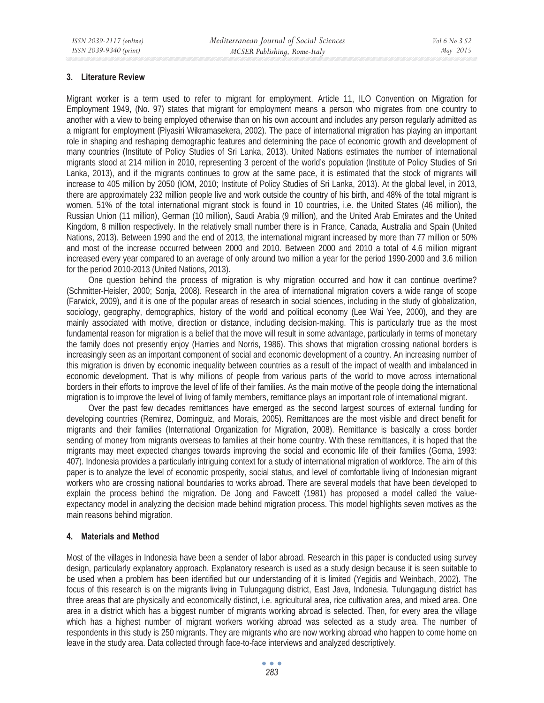#### **3. Literature Review**

Migrant worker is a term used to refer to migrant for employment. Article 11, ILO Convention on Migration for Employment 1949, (No. 97) states that migrant for employment means a person who migrates from one country to another with a view to being employed otherwise than on his own account and includes any person regularly admitted as a migrant for employment (Piyasiri Wikramasekera, 2002). The pace of international migration has playing an important role in shaping and reshaping demographic features and determining the pace of economic growth and development of many countries (Institute of Policy Studies of Sri Lanka, 2013). United Nations estimates the number of international migrants stood at 214 million in 2010, representing 3 percent of the world's population (Institute of Policy Studies of Sri Lanka, 2013), and if the migrants continues to grow at the same pace, it is estimated that the stock of migrants will increase to 405 million by 2050 (IOM, 2010; Institute of Policy Studies of Sri Lanka, 2013). At the global level, in 2013, there are approximately 232 million people live and work outside the country of his birth, and 48% of the total migrant is women. 51% of the total international migrant stock is found in 10 countries, i.e. the United States (46 million), the Russian Union (11 million), German (10 million), Saudi Arabia (9 million), and the United Arab Emirates and the United Kingdom, 8 million respectively. In the relatively small number there is in France, Canada, Australia and Spain (United Nations, 2013). Between 1990 and the end of 2013, the international migrant increased by more than 77 million or 50% and most of the increase occurred between 2000 and 2010. Between 2000 and 2010 a total of 4.6 million migrant increased every year compared to an average of only around two million a year for the period 1990-2000 and 3.6 million for the period 2010-2013 (United Nations, 2013).

One question behind the process of migration is why migration occurred and how it can continue overtime? (Schmitter-Heisler, 2000; Sonja, 2008). Research in the area of international migration covers a wide range of scope (Farwick, 2009), and it is one of the popular areas of research in social sciences, including in the study of globalization, sociology, geography, demographics, history of the world and political economy (Lee Wai Yee, 2000), and they are mainly associated with motive, direction or distance, including decision-making. This is particularly true as the most fundamental reason for migration is a belief that the move will result in some advantage, particularly in terms of monetary the family does not presently enjoy (Harries and Norris, 1986). This shows that migration crossing national borders is increasingly seen as an important component of social and economic development of a country. An increasing number of this migration is driven by economic inequality between countries as a result of the impact of wealth and imbalanced in economic development. That is why millions of people from various parts of the world to move across international borders in their efforts to improve the level of life of their families. As the main motive of the people doing the international migration is to improve the level of living of family members, remittance plays an important role of international migrant.

Over the past few decades remittances have emerged as the second largest sources of external funding for developing countries (Remirez, Dominguiz, and Morais, 2005). Remittances are the most visible and direct benefit for migrants and their families (International Organization for Migration, 2008). Remittance is basically a cross border sending of money from migrants overseas to families at their home country. With these remittances, it is hoped that the migrants may meet expected changes towards improving the social and economic life of their families (Goma, 1993: 407). Indonesia provides a particularly intriguing context for a study of international migration of workforce. The aim of this paper is to analyze the level of economic prosperity, social status, and level of comfortable living of Indonesian migrant workers who are crossing national boundaries to works abroad. There are several models that have been developed to explain the process behind the migration. De Jong and Fawcett (1981) has proposed a model called the valueexpectancy model in analyzing the decision made behind migration process. This model highlights seven motives as the main reasons behind migration.

### **4. Materials and Method**

Most of the villages in Indonesia have been a sender of labor abroad. Research in this paper is conducted using survey design, particularly explanatory approach. Explanatory research is used as a study design because it is seen suitable to be used when a problem has been identified but our understanding of it is limited (Yegidis and Weinbach, 2002). The focus of this research is on the migrants living in Tulungagung district, East Java, Indonesia. Tulungagung district has three areas that are physically and economically distinct, i.e. agricultural area, rice cultivation area, and mixed area. One area in a district which has a biggest number of migrants working abroad is selected. Then, for every area the village which has a highest number of migrant workers working abroad was selected as a study area. The number of respondents in this study is 250 migrants. They are migrants who are now working abroad who happen to come home on leave in the study area. Data collected through face-to-face interviews and analyzed descriptively.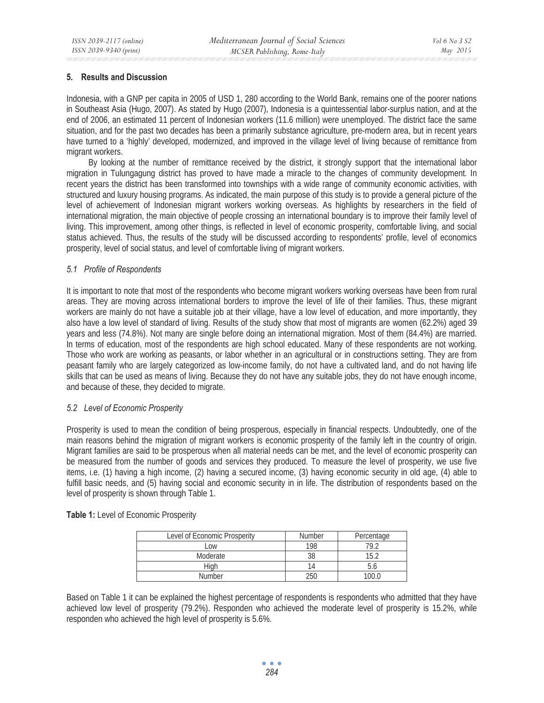### **5. Results and Discussion**

Indonesia, with a GNP per capita in 2005 of USD 1, 280 according to the World Bank, remains one of the poorer nations in Southeast Asia (Hugo, 2007). As stated by Hugo (2007), Indonesia is a quintessential labor-surplus nation, and at the end of 2006, an estimated 11 percent of Indonesian workers (11.6 million) were unemployed. The district face the same situation, and for the past two decades has been a primarily substance agriculture, pre-modern area, but in recent years have turned to a 'highly' developed, modernized, and improved in the village level of living because of remittance from migrant workers.

By looking at the number of remittance received by the district, it strongly support that the international labor migration in Tulungagung district has proved to have made a miracle to the changes of community development. In recent years the district has been transformed into townships with a wide range of community economic activities, with structured and luxury housing programs. As indicated, the main purpose of this study is to provide a general picture of the level of achievement of Indonesian migrant workers working overseas. As highlights by researchers in the field of international migration, the main objective of people crossing an international boundary is to improve their family level of living. This improvement, among other things, is reflected in level of economic prosperity, comfortable living, and social status achieved. Thus, the results of the study will be discussed according to respondents' profile, level of economics prosperity, level of social status, and level of comfortable living of migrant workers.

### *5.1 Profile of Respondents*

It is important to note that most of the respondents who become migrant workers working overseas have been from rural areas. They are moving across international borders to improve the level of life of their families. Thus, these migrant workers are mainly do not have a suitable job at their village, have a low level of education, and more importantly, they also have a low level of standard of living. Results of the study show that most of migrants are women (62.2%) aged 39 years and less (74.8%). Not many are single before doing an international migration. Most of them (84.4%) are married. In terms of education, most of the respondents are high school educated. Many of these respondents are not working. Those who work are working as peasants, or labor whether in an agricultural or in constructions setting. They are from peasant family who are largely categorized as low-income family, do not have a cultivated land, and do not having life skills that can be used as means of living. Because they do not have any suitable jobs, they do not have enough income, and because of these, they decided to migrate.

## *5.2 Level of Economic Prosperity*

Prosperity is used to mean the condition of being prosperous, especially in financial respects. Undoubtedly, one of the main reasons behind the migration of migrant workers is economic prosperity of the family left in the country of origin. Migrant families are said to be prosperous when all material needs can be met, and the level of economic prosperity can be measured from the number of goods and services they produced. To measure the level of prosperity, we use five items, i.e. (1) having a high income, (2) having a secured income, (3) having economic security in old age, (4) able to fulfill basic needs, and (5) having social and economic security in in life. The distribution of respondents based on the level of prosperity is shown through Table 1.

| Level of Economic Prosperity | <b>Number</b> | Percentage |
|------------------------------|---------------|------------|
| LOW                          | 198           |            |
| Moderate                     |               |            |
| Hiah                         | 14            |            |
| <b>Number</b>                | 250           | 100 N      |

**Table 1:** Level of Economic Prosperity

Based on Table 1 it can be explained the highest percentage of respondents is respondents who admitted that they have achieved low level of prosperity (79.2%). Responden who achieved the moderate level of prosperity is 15.2%, while responden who achieved the high level of prosperity is 5.6%.

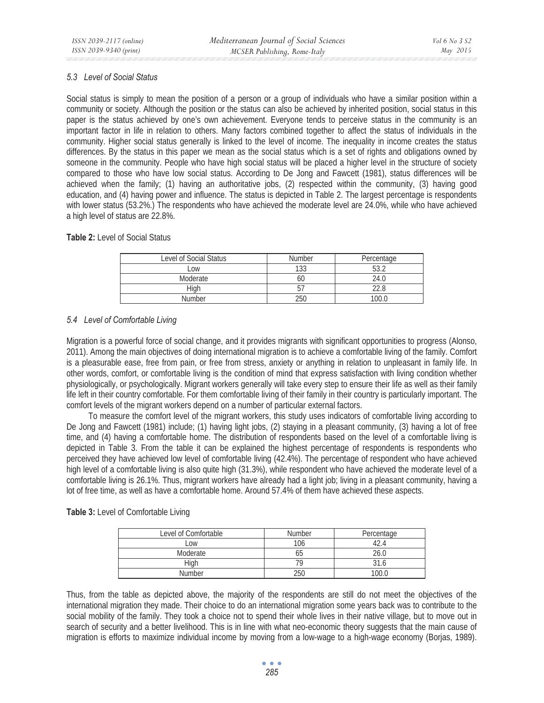### *5.3 Level of Social Status*

Social status is simply to mean the position of a person or a group of individuals who have a similar position within a community or society. Although the position or the status can also be achieved by inherited position, social status in this paper is the status achieved by one's own achievement. Everyone tends to perceive status in the community is an important factor in life in relation to others. Many factors combined together to affect the status of individuals in the community. Higher social status generally is linked to the level of income. The inequality in income creates the status differences. By the status in this paper we mean as the social status which is a set of rights and obligations owned by someone in the community. People who have high social status will be placed a higher level in the structure of society compared to those who have low social status. According to De Jong and Fawcett (1981), status differences will be achieved when the family; (1) having an authoritative jobs, (2) respected within the community, (3) having good education, and (4) having power and influence. The status is depicted in Table 2. The largest percentage is respondents with lower status (53.2%.) The respondents who have achieved the moderate level are 24.0%, while who have achieved a high level of status are 22.8%.

### **Table 2:** Level of Social Status

| Level of Social Status | <b>Number</b> | Percentage |
|------------------------|---------------|------------|
| $-0W$                  | 1 2 2         |            |
| Moderate               | bl.           | 24.0       |
| Hiah                   | b.            | 22 R       |
| Number                 | ንፍር           | 100.0      |

## *5.4 Level of Comfortable Living*

Migration is a powerful force of social change, and it provides migrants with significant opportunities to progress (Alonso, 2011). Among the main objectives of doing international migration is to achieve a comfortable living of the family. Comfort is a pleasurable ease, free from pain, or free from stress, anxiety or anything in relation to unpleasant in family life. In other words, comfort, or comfortable living is the condition of mind that express satisfaction with living condition whether physiologically, or psychologically. Migrant workers generally will take every step to ensure their life as well as their family life left in their country comfortable. For them comfortable living of their family in their country is particularly important. The comfort levels of the migrant workers depend on a number of particular external factors.

To measure the comfort level of the migrant workers, this study uses indicators of comfortable living according to De Jong and Fawcett (1981) include; (1) having light jobs, (2) staying in a pleasant community, (3) having a lot of free time, and (4) having a comfortable home. The distribution of respondents based on the level of a comfortable living is depicted in Table 3. From the table it can be explained the highest percentage of respondents is respondents who perceived they have achieved low level of comfortable living (42.4%). The percentage of respondent who have achieved high level of a comfortable living is also quite high (31.3%), while respondent who have achieved the moderate level of a comfortable living is 26.1%. Thus, migrant workers have already had a light job; living in a pleasant community, having a lot of free time, as well as have a comfortable home. Around 57.4% of them have achieved these aspects.

| Level of Comfortable | <b>Number</b> | Percentage |
|----------------------|---------------|------------|
| Low                  | 106           |            |
| Moderate             | ხე            | 26.0       |
| Hiah                 |               |            |
| <b>Number</b>        | 250           | 100.0      |

## **Table 3:** Level of Comfortable Living

Thus, from the table as depicted above, the majority of the respondents are still do not meet the objectives of the international migration they made. Their choice to do an international migration some years back was to contribute to the social mobility of the family. They took a choice not to spend their whole lives in their native village, but to move out in search of security and a better livelihood. This is in line with what neo-economic theory suggests that the main cause of migration is efforts to maximize individual income by moving from a low-wage to a high-wage economy (Borjas, 1989).